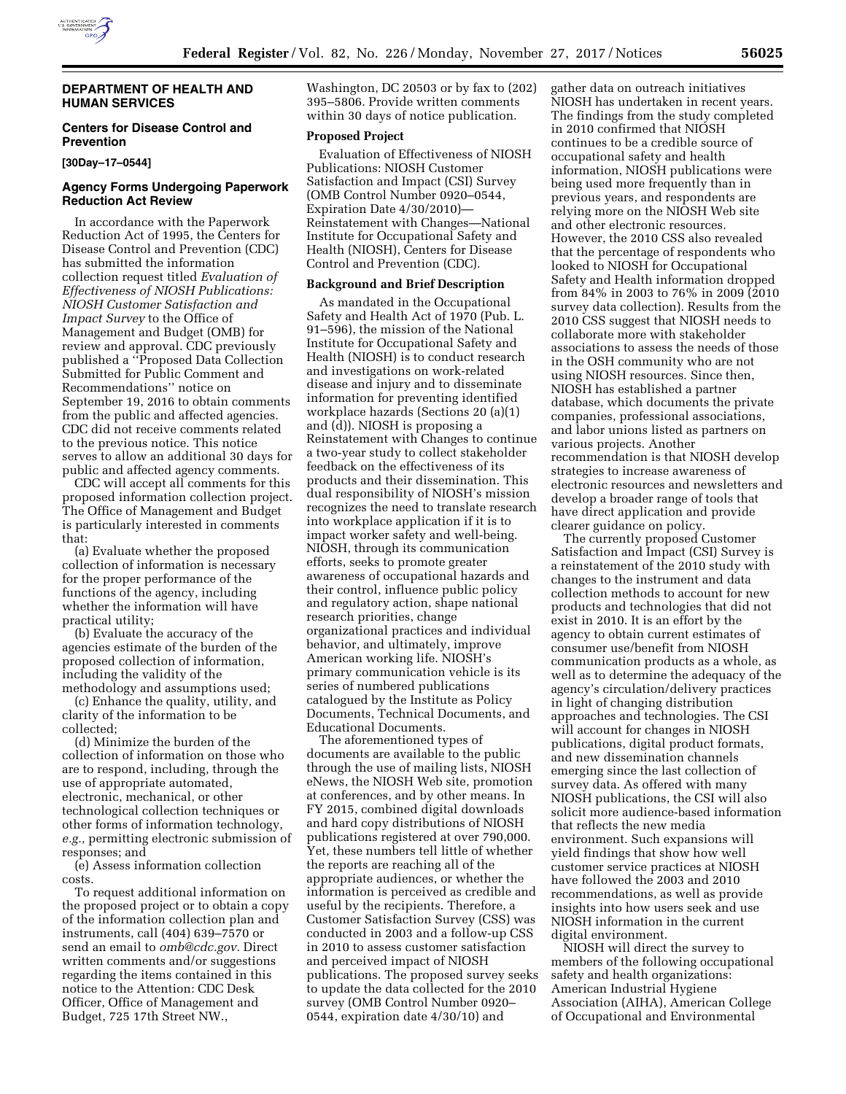

### **DEPARTMENT OF HEALTH AND HUMAN SERVICES**

# **Centers for Disease Control and Prevention**

#### **[30Day–17–0544]**

### **Agency Forms Undergoing Paperwork Reduction Act Review**

In accordance with the Paperwork Reduction Act of 1995, the Centers for Disease Control and Prevention (CDC) has submitted the information collection request titled *Evaluation of Effectiveness of NIOSH Publications: NIOSH Customer Satisfaction and Impact Survey* to the Office of Management and Budget (OMB) for review and approval. CDC previously published a ''Proposed Data Collection Submitted for Public Comment and Recommendations'' notice on September 19, 2016 to obtain comments from the public and affected agencies. CDC did not receive comments related to the previous notice. This notice serves to allow an additional 30 days for public and affected agency comments.

CDC will accept all comments for this proposed information collection project. The Office of Management and Budget is particularly interested in comments that:

(a) Evaluate whether the proposed collection of information is necessary for the proper performance of the functions of the agency, including whether the information will have practical utility;

(b) Evaluate the accuracy of the agencies estimate of the burden of the proposed collection of information, including the validity of the methodology and assumptions used;

(c) Enhance the quality, utility, and clarity of the information to be collected;

(d) Minimize the burden of the collection of information on those who are to respond, including, through the use of appropriate automated, electronic, mechanical, or other technological collection techniques or other forms of information technology, *e.g.,* permitting electronic submission of responses; and

(e) Assess information collection costs.

To request additional information on the proposed project or to obtain a copy of the information collection plan and instruments, call (404) 639–7570 or send an email to *[omb@cdc.gov.](mailto:omb@cdc.gov)* Direct written comments and/or suggestions regarding the items contained in this notice to the Attention: CDC Desk Officer, Office of Management and Budget, 725 17th Street NW.,

Washington, DC 20503 or by fax to (202) 395–5806. Provide written comments within 30 days of notice publication.

# **Proposed Project**

Evaluation of Effectiveness of NIOSH Publications: NIOSH Customer Satisfaction and Impact (CSI) Survey (OMB Control Number 0920–0544, Expiration Date 4/30/2010)— Reinstatement with Changes—National Institute for Occupational Safety and Health (NIOSH), Centers for Disease Control and Prevention (CDC).

#### **Background and Brief Description**

As mandated in the Occupational Safety and Health Act of 1970 (Pub. L. 91–596), the mission of the National Institute for Occupational Safety and Health (NIOSH) is to conduct research and investigations on work-related disease and injury and to disseminate information for preventing identified workplace hazards (Sections 20 (a)(1) and (d)). NIOSH is proposing a Reinstatement with Changes to continue a two-year study to collect stakeholder feedback on the effectiveness of its products and their dissemination. This dual responsibility of NIOSH's mission recognizes the need to translate research into workplace application if it is to impact worker safety and well-being. NIOSH, through its communication efforts, seeks to promote greater awareness of occupational hazards and their control, influence public policy and regulatory action, shape national research priorities, change organizational practices and individual behavior, and ultimately, improve American working life. NIOSH's primary communication vehicle is its series of numbered publications catalogued by the Institute as Policy Documents, Technical Documents, and Educational Documents.

The aforementioned types of documents are available to the public through the use of mailing lists, NIOSH eNews, the NIOSH Web site, promotion at conferences, and by other means. In FY 2015, combined digital downloads and hard copy distributions of NIOSH publications registered at over 790,000. Yet, these numbers tell little of whether the reports are reaching all of the appropriate audiences, or whether the information is perceived as credible and useful by the recipients. Therefore, a Customer Satisfaction Survey (CSS) was conducted in 2003 and a follow-up CSS in 2010 to assess customer satisfaction and perceived impact of NIOSH publications. The proposed survey seeks to update the data collected for the 2010 survey (OMB Control Number 0920– 0544, expiration date 4/30/10) and

gather data on outreach initiatives NIOSH has undertaken in recent years. The findings from the study completed in 2010 confirmed that NIOSH continues to be a credible source of occupational safety and health information, NIOSH publications were being used more frequently than in previous years, and respondents are relying more on the NIOSH Web site and other electronic resources. However, the 2010 CSS also revealed that the percentage of respondents who looked to NIOSH for Occupational Safety and Health information dropped from 84% in 2003 to 76% in 2009 (2010 survey data collection). Results from the 2010 CSS suggest that NIOSH needs to collaborate more with stakeholder associations to assess the needs of those in the OSH community who are not using NIOSH resources. Since then, NIOSH has established a partner database, which documents the private companies, professional associations, and labor unions listed as partners on various projects. Another recommendation is that NIOSH develop strategies to increase awareness of electronic resources and newsletters and develop a broader range of tools that have direct application and provide clearer guidance on policy.

The currently proposed Customer Satisfaction and Impact (CSI) Survey is a reinstatement of the 2010 study with changes to the instrument and data collection methods to account for new products and technologies that did not exist in 2010. It is an effort by the agency to obtain current estimates of consumer use/benefit from NIOSH communication products as a whole, as well as to determine the adequacy of the agency's circulation/delivery practices in light of changing distribution approaches and technologies. The CSI will account for changes in NIOSH publications, digital product formats, and new dissemination channels emerging since the last collection of survey data. As offered with many NIOSH publications, the CSI will also solicit more audience-based information that reflects the new media environment. Such expansions will yield findings that show how well customer service practices at NIOSH have followed the 2003 and 2010 recommendations, as well as provide insights into how users seek and use NIOSH information in the current digital environment.

NIOSH will direct the survey to members of the following occupational safety and health organizations: American Industrial Hygiene Association (AIHA), American College of Occupational and Environmental